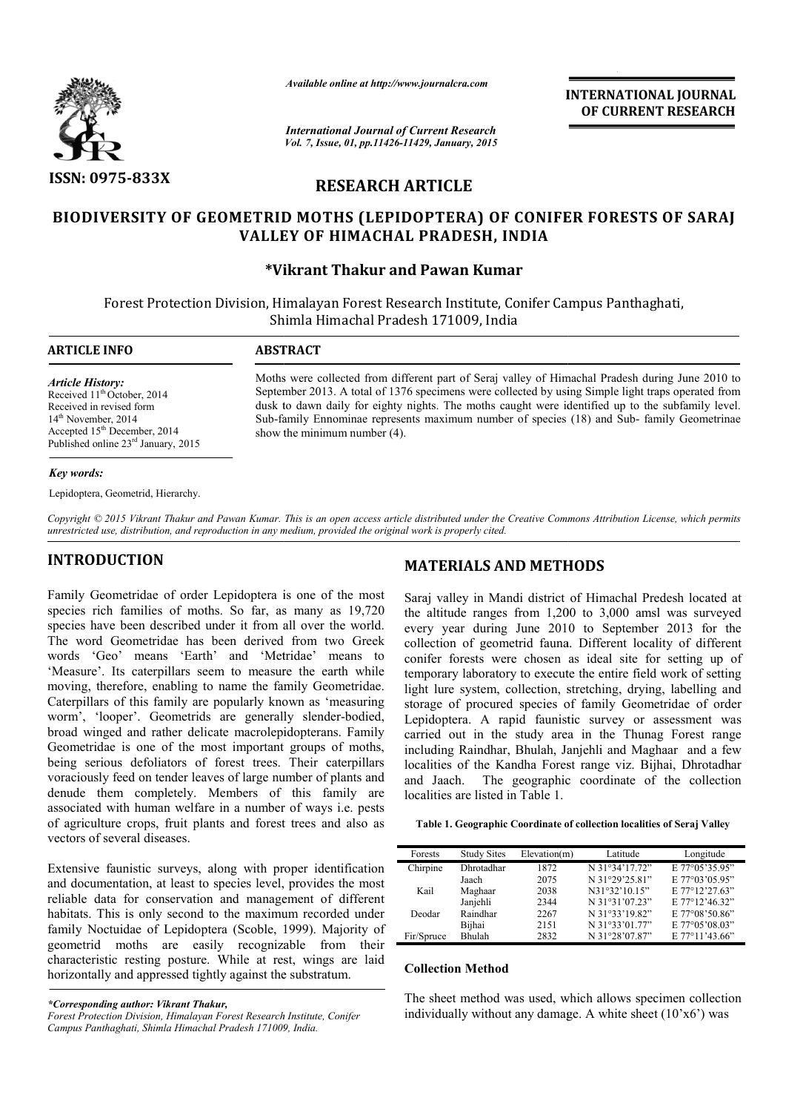

*Available online at http://www.journalcra.com*

**INTERNATIONAL INTERNATIONAL JOURNAL OF CURRENT RESEARCH** 

*International Journal of Current Research Vol. 7, Issue, 01, pp.11426-11429, January, 2015*

# **RESEARCH ARTICLE**

# **BIODIVERSITY OF GEOMETRID MOTHS (LEPIDOPTERA) OF CONIFER FORESTS OF SARAJ OF VALLEY OF HIMACHAL PRADESH, INDIA**

# **\*Vikrant Thakur Vikrant and Pawan Kumar**

Forest Protection Division, Himalayan Forest Research Institute, Conifer Campus Panthaghati, Shimla Himachal Pradesh 171009, India 1

**ARTICLE INFO ABSTRACT**

*Article History:*

Received 11<sup>th</sup> October, 2014 Received in revised form 14<sup>th</sup> November, 2014 Accepted 15th December, 2014 Published online 23<sup>rd</sup> January, 2015

Moths were collected from different part of Seraj valley of Himachal Pradesh during June 2010 to September 2013. A total of 1376 specimens were collected by using Simple light traps operated from dusk to dawn daily for eighty nights. The moths caught were identified up to the subfamily level. Sub-family Ennominae represents maximum number of species (18) and Sub Sub-family Ennominae represe<br>show the minimum number (4). vere collected from different part of Seraj valley of Himachal Pradesh during June 2010 to<br>er 2013. A total of 1376 specimens were collected by using Simple light traps operated from<br>dawn daily for eighty nights. The moths

#### *Key words:*

Lepidoptera, Geometrid, Hierarchy.

Copyright © 2015 Vikrant Thakur and Pawan Kumar. This is an open access article distributed under the Creative Commons Attribution License, which permits *unrestricted use, distribution, and reproduction in any medium, provided the original work is properly cited.*

# **INTRODUCTION**

Family Geometridae of order Lepidoptera is one of the most species rich families of moths. So far, as many as 19,720 species have been described under it from all over the world. The word Geometridae has been derived from two Greek words 'Geo' means 'Earth' and 'Metridae' means to 'Measure'. Its caterpillars seem to measure the earth while moving, therefore, enabling to name the family Geometridae. Caterpillars of this family are popularly known as 'measuring worm', 'looper'. Geometrids are generally slender-bodied, broad winged and rather delicate macrolepidopterans. Family Geometridae is one of the most important groups of moths, being serious defoliators of forest trees. Their caterpillars voraciously feed on tender leaves of large number of plants and denude them completely. Members of this family are associated with human welfare in a number of ways i.e. pests of agriculture crops, fruit plants and forest trees and also as vectors of several diseases. ringed and rather de<br>
ridae is one of the<br>
erious defoliators c<br>
sly feed on tender le<br>
them completely.<br>
ed with human welf<br>
ulture crops, fruit p<br>
of several diseases.<br>
we faunistic surveys,<br>
umentation, at least

Extensive faunistic surveys, along with proper identification and documentation, at least to species level, provides the most reliable data for conservation and management of different habitats. This is only second to the maximum recorded under family Noctuidae of Lepidoptera (Scoble, 1999). Majority of geometrid moths are easily recognizable from their characteristic resting posture. While at rest, wings are laid horizontally and appressed tightly against the substratum.

*\*Corresponding author: Vikrant Thakur,*

# **MATERIALS AND METHODS**

Saraj valley in Mandi district of Himachal Predesh located at Saraj valley in Mandi district of Himachal Predesh located at the altitude ranges from 1,200 to 3,000 amsl was surveyed every year during June 2010 to September 2013 for the collection of geometrid fauna. Different locality of different conifer forests were chosen as ideal site for setting up of temporary laboratory to execute the entire field work of setting light lure system, collection, stretching, drying, labelling and storage of procured species of family Geometridae of order Lepidoptera. A rapid faunistic survey or assessment was carried out in the study area in the Thunag Forest range including Raindhar, Bhulah, Janjehli and Maghaar and a few localities of the Kandha Forest range viz. Bijhai, Dhrotadhar The geographic coordinate of the collection localities are listed in Table 1. v year during June 2010 to September 2013 for the control of geometrid fauna. Different locality of different er forests were chosen as ideal site for setting up of orary laboratory to execute the entire field work of sett **INTERNATIONAL JOURNAL OF CURRENT RESEARCH CONTRIGUAL CONTRIGUAL CONTRIGUAL CONTRIGUAL CONTRIGUAL CONTRIGUAL CONTRIGUAL CONTRIGUAL CONTRIGUAL CONTRIGUAL CONTRIGUAL CONTRIGUAL CONTRIGUAL CONTRIGUAL AND INTERNATIONAL CONTRI** 

| Table 1. Geographic Coordinate of collection localities of Seraj Valley |  |  |  |  |  |
|-------------------------------------------------------------------------|--|--|--|--|--|
|-------------------------------------------------------------------------|--|--|--|--|--|

| Forests    | <b>Study Sites</b> | Elevation(m) | Latitude       | Longitude      |
|------------|--------------------|--------------|----------------|----------------|
| Chirpine   | Dhrotadhar         | 1872         | N 31°34'17.72" | E 77°05'35.95" |
|            | Jaach              | 2075         | N 31°29'25.81" | E 77°03'05.95" |
| Kail       | Maghaar            | 2038         | N31°32'10.15"  | E 77°12'27.63" |
|            | Janjehli           | 2344         | N 31°31'07.23" | E 77°12'46.32" |
| Deodar     | Raindhar           | 2267         | N 31°33'19.82" | E 77°08'50.86" |
|            | Bijhai             | 2151         | N 31°33'01.77" | E 77°05'08.03" |
| Fir/Spruce | Bhulah             | 2832         | N 31°28'07.87" | E 77°11'43.66" |

#### **Collection Method**

The sheet method was used, which allows specimen collection individually without any damage. A white sheet  $(10'x6')$  was

*Forest Protection Division, Himalayan Forest Research Institut Institute, Conifer*  Campus Panthaghati, Shimla Himachal Pradesh 171009, India.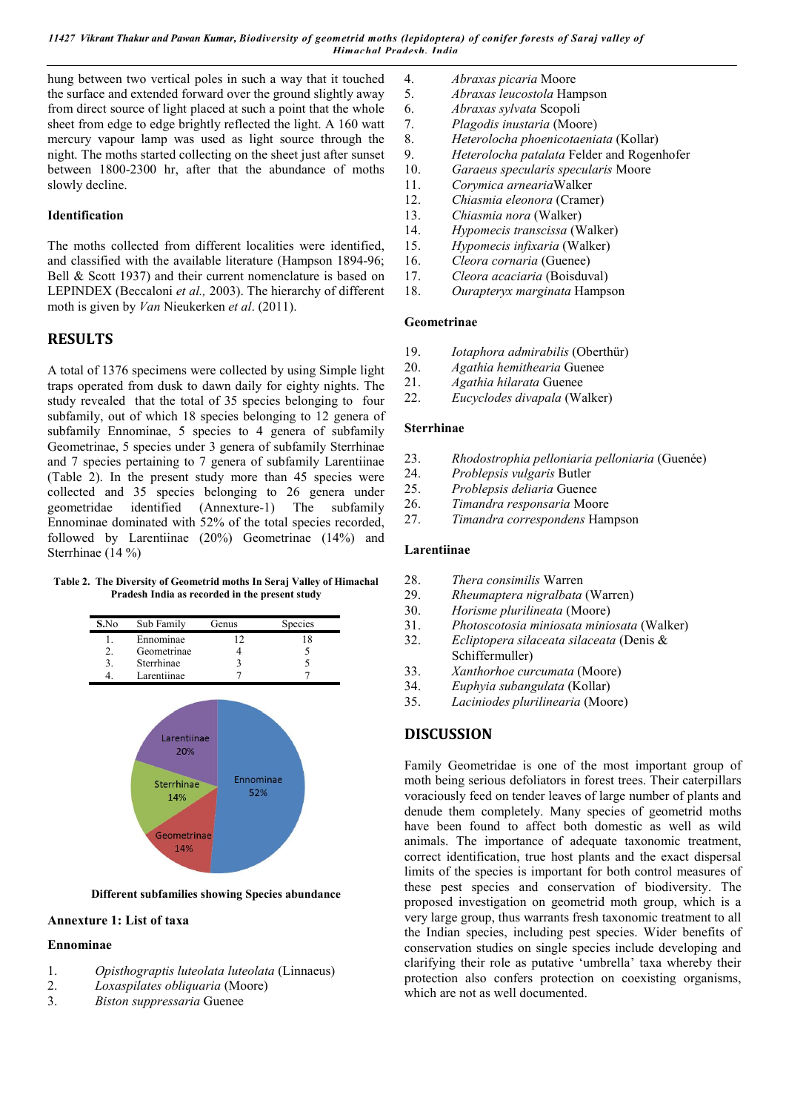hung between two vertical poles in such a way that it touched the surface and extended forward over the ground slightly away from direct source of light placed at such a point that the whole sheet from edge to edge brightly reflected the light. A 160 watt mercury vapour lamp was used as light source through the night. The moths started collecting on the sheet just after sunset between 1800-2300 hr, after that the abundance of moths slowly decline.

## **Identification**

The moths collected from different localities were identified, and classified with the available literature (Hampson 1894-96; Bell & Scott 1937) and their current nomenclature is based on LEPINDEX (Beccaloni *et al.,* 2003). The hierarchy of different moth is given by *Van* Nieukerken *et al*. (2011).

# **RESULTS**

A total of 1376 specimens were collected by using Simple light traps operated from dusk to dawn daily for eighty nights. The study revealed that the total of 35 species belonging to four subfamily, out of which 18 species belonging to 12 genera of subfamily Ennominae, 5 species to 4 genera of subfamily Geometrinae, 5 species under 3 genera of subfamily Sterrhinae and 7 species pertaining to 7 genera of subfamily Larentiinae (Table 2). In the present study more than 45 species were collected and 35 species belonging to 26 genera under geometridae identified (Annexture-1) The subfamily Ennominae dominated with 52% of the total species recorded, followed by Larentiinae (20%) Geometrinae (14%) and Sterrhinae (14 %)

**Table 2. The Diversity of Geometrid moths In Seraj Valley of Himachal Pradesh India as recorded in the present study**



**Different subfamilies showing Species abundance**

## **Annexture 1: List of taxa**

#### **Ennominae**

- 1. *Opisthograptis luteolata luteolata* (Linnaeus)
- 2. *Loxaspilates obliquaria* (Moore)
- 3. *Biston suppressaria* Guenee
- 4. *Abraxas picaria* Moore
- 5. *Abraxas leucostola* Hampson
- 6. *Abraxas sylvata* Scopoli
	- 7. *Plagodis inustaria* (Moore)
- 8. *Heterolocha phoenicotaeniata* (Kollar)
- 9. *Heterolocha patalata* Felder and Rogenhofer
- 10. *Garaeus specularis specularis* Moore
- 11. *Corymica arnearia*Walker
- 12. *Chiasmia eleonora* (Cramer)
- 13. *Chiasmia nora* (Walker)
- 14. *Hypomecis transcissa* (Walker)
- 15. *Hypomecis infixaria* (Walker)
- 16. *Cleora cornaria* (Guenee)
- 17. *Cleora acaciaria* (Boisduval)
- 18. *Ourapteryx marginata* Hampson

#### **Geometrinae**

- 19. *Iotaphora admirabilis* (Oberthür)
- 20. *Agathia hemithearia* Guenee
- 21. *Agathia hilarata* Guenee
- 22. *Eucyclodes divapala* (Walker)

### **Sterrhinae**

- 23. *Rhodostrophia pelloniaria pelloniaria* (Guenée)
- 24. *Problepsis vulgaris* Butler
- 25. *Problepsis deliaria* Guenee
- 26. *Timandra responsaria* Moore
- 27. *Timandra correspondens* Hampson

#### **Larentiinae**

- 28. *Thera consimilis* Warren
- 29. *Rheumaptera nigralbata* (Warren)
- 30. *Horisme plurilineata* (Moore)
- 31. *Photoscotosia miniosata miniosata* (Walker)
- 32. *Ecliptopera silaceata silaceata* (Denis &
- Schiffermuller)
- 33. *Xanthorhoe curcumata* (Moore)
- 34. *Euphyia subangulata* (Kollar)
- 35. *Laciniodes plurilinearia* (Moore)

# **DISCUSSION**

Family Geometridae is one of the most important group of moth being serious defoliators in forest trees. Their caterpillars voraciously feed on tender leaves of large number of plants and denude them completely. Many species of geometrid moths have been found to affect both domestic as well as wild animals. The importance of adequate taxonomic treatment, correct identification, true host plants and the exact dispersal limits of the species is important for both control measures of these pest species and conservation of biodiversity. The proposed investigation on geometrid moth group, which is a very large group, thus warrants fresh taxonomic treatment to all the Indian species, including pest species. Wider benefits of conservation studies on single species include developing and clarifying their role as putative 'umbrella' taxa whereby their protection also confers protection on coexisting organisms, which are not as well documented.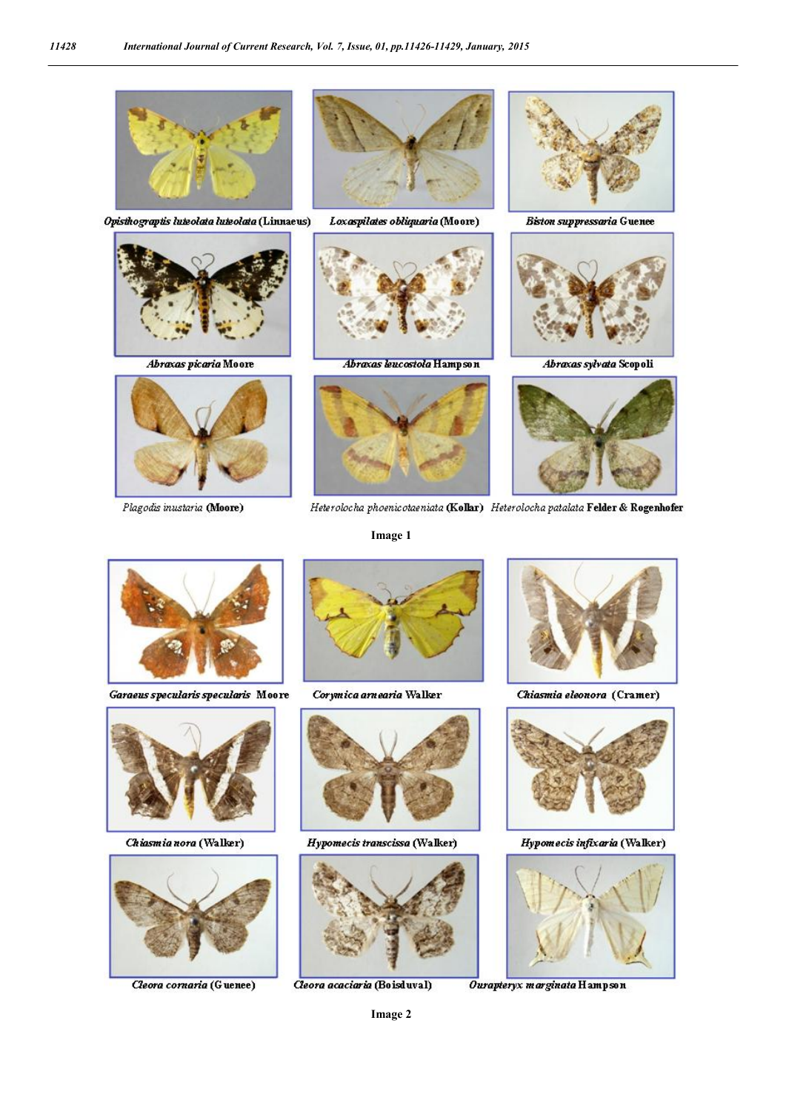

11428

Opisthograptis luteolata luteolata (Linnaeus)



Abraxas picaria Moore



Plagodis inustaria (Moore)



Loxaspilates obliquaria (Moore)



Abraxas leucostola Hampson



Heterolocha phoenicotaeniata (Kollar) Heterolocha patalata Felder & Rogenhofer

Image 1



**Biston suppressaria Guenee** 



Abraxas sylvata Scopoli



Garaeus specularis specularis Moore



Chiasmia nora (Walker)



Cleora cornaria (Guenee)



Corymica arnearia Walker



Hypomecis transcissa (Walker)



Cleora acaciaria (Boisduval)



Chiasmia eleonora (Cramer)



Hypomecis infixaria (Walker)



Ourapteryx marginata Hampson

Image 2